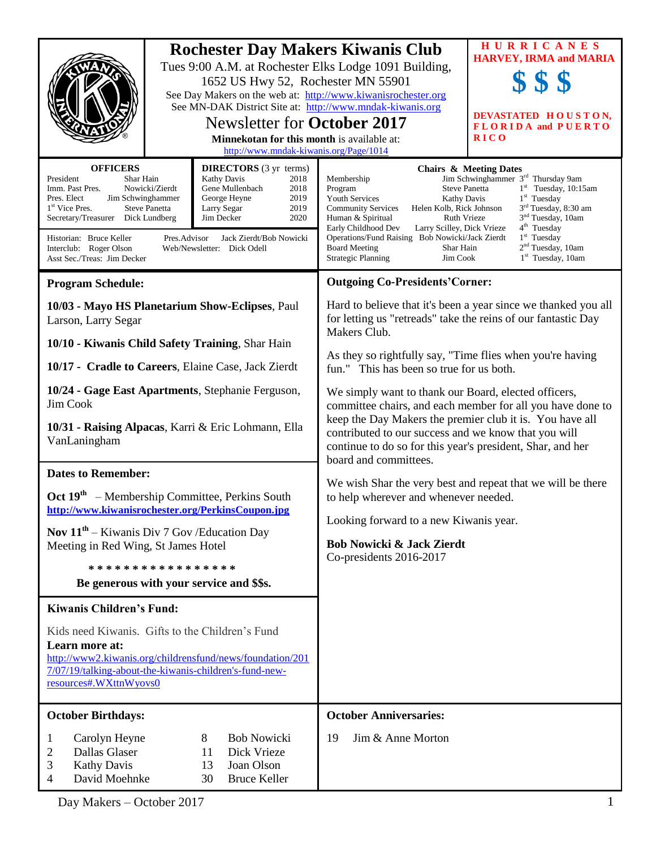|                                                                                                                                                                                                                                                                                                                                                                                                                                                                                                                                    |  | 1652 US Hwy 52, Rochester MN 55901<br>See MN-DAK District Site at: http://www.mndak-kiwanis.org<br><b>Newsletter for October 2017</b><br>Minnekotan for this month is available at:<br>http://www.mndak-kiwanis.org/Page/1014 | <b>Rochester Day Makers Kiwanis Club</b><br>Tues 9:00 A.M. at Rochester Elks Lodge 1091 Building,<br>See Day Makers on the web at: http://www.kiwanisrochester.org                                                                                                                                                                                                                                                                                                                                                                             | HURRICANES<br><b>HARVEY, IRMA and MARIA</b><br><b>SSS</b><br>DEVASTATED HOUSTON,<br><b>FLORIDA and PUERTO</b><br><b>RICO</b>                                                                                                                                                                            |
|------------------------------------------------------------------------------------------------------------------------------------------------------------------------------------------------------------------------------------------------------------------------------------------------------------------------------------------------------------------------------------------------------------------------------------------------------------------------------------------------------------------------------------|--|-------------------------------------------------------------------------------------------------------------------------------------------------------------------------------------------------------------------------------|------------------------------------------------------------------------------------------------------------------------------------------------------------------------------------------------------------------------------------------------------------------------------------------------------------------------------------------------------------------------------------------------------------------------------------------------------------------------------------------------------------------------------------------------|---------------------------------------------------------------------------------------------------------------------------------------------------------------------------------------------------------------------------------------------------------------------------------------------------------|
| <b>OFFICERS</b><br><b>DIRECTORS</b> (3 yr terms)<br>Kathy Davis<br>President<br>Shar Hain<br>2018<br>Gene Mullenbach<br>Imm. Past Pres.<br>Nowicki/Zierdt<br>2018<br>George Heyne<br>2019<br>Pres. Elect<br>Jim Schwinghammer<br>2019<br>1 <sup>st</sup> Vice Pres.<br><b>Steve Panetta</b><br>Larry Segar<br>Jim Decker<br>2020<br>Secretary/Treasurer Dick Lundberg<br>Jack Zierdt/Bob Nowicki<br>Historian: Bruce Keller<br>Pres.Advisor<br>Interclub: Roger Olson<br>Web/Newsletter: Dick Odell<br>Asst Sec./Treas: Jim Decker |  |                                                                                                                                                                                                                               | Membership<br><b>Steve Panetta</b><br>Program<br><b>Youth Services</b><br>Kathy Davis<br><b>Community Services</b><br>Helen Kolb, Rick Johnson<br>Ruth Vrieze<br>Human & Spiritual<br>Early Childhood Dev<br>Larry Scilley, Dick Vrieze<br>Operations/Fund Raising Bob Nowicki/Jack Zierdt<br><b>Board Meeting</b><br>Shar Hain<br><b>Strategic Planning</b><br>Jim Cook                                                                                                                                                                       | <b>Chairs &amp; Meeting Dates</b><br>Jim Schwinghammer 3 <sup>rd</sup> Thursday 9am<br>$1st$ Tuesday, 10:15am<br>$1st$ Tuesday<br>3 <sup>rd</sup> Tuesday, 8:30 am<br>3 <sup>nd</sup> Tuesday, 10am<br>4 <sup>th</sup> Tuesday<br>$1st$ Tuesday<br>2 <sup>nd</sup> Tuesday, 10am<br>$1st$ Tuesday, 10am |
| <b>Program Schedule:</b>                                                                                                                                                                                                                                                                                                                                                                                                                                                                                                           |  |                                                                                                                                                                                                                               | <b>Outgoing Co-Presidents' Corner:</b>                                                                                                                                                                                                                                                                                                                                                                                                                                                                                                         |                                                                                                                                                                                                                                                                                                         |
| 10/03 - Mayo HS Planetarium Show-Eclipses, Paul<br>Larson, Larry Segar                                                                                                                                                                                                                                                                                                                                                                                                                                                             |  |                                                                                                                                                                                                                               | Hard to believe that it's been a year since we thanked you all<br>for letting us "retreads" take the reins of our fantastic Day<br>Makers Club.                                                                                                                                                                                                                                                                                                                                                                                                |                                                                                                                                                                                                                                                                                                         |
| 10/10 - Kiwanis Child Safety Training, Shar Hain                                                                                                                                                                                                                                                                                                                                                                                                                                                                                   |  |                                                                                                                                                                                                                               | As they so rightfully say, "Time flies when you're having<br>fun." This has been so true for us both.<br>We simply want to thank our Board, elected officers,<br>committee chairs, and each member for all you have done to<br>keep the Day Makers the premier club it is. You have all<br>contributed to our success and we know that you will<br>continue to do so for this year's president, Shar, and her<br>board and committees.<br>We wish Shar the very best and repeat that we will be there<br>to help wherever and whenever needed. |                                                                                                                                                                                                                                                                                                         |
| 10/17 - Cradle to Careers, Elaine Case, Jack Zierdt                                                                                                                                                                                                                                                                                                                                                                                                                                                                                |  |                                                                                                                                                                                                                               |                                                                                                                                                                                                                                                                                                                                                                                                                                                                                                                                                |                                                                                                                                                                                                                                                                                                         |
| 10/24 - Gage East Apartments, Stephanie Ferguson,<br>Jim Cook<br>10/31 - Raising Alpacas, Karri & Eric Lohmann, Ella<br>VanLaningham                                                                                                                                                                                                                                                                                                                                                                                               |  |                                                                                                                                                                                                                               |                                                                                                                                                                                                                                                                                                                                                                                                                                                                                                                                                |                                                                                                                                                                                                                                                                                                         |
| <b>Dates to Remember:</b>                                                                                                                                                                                                                                                                                                                                                                                                                                                                                                          |  |                                                                                                                                                                                                                               |                                                                                                                                                                                                                                                                                                                                                                                                                                                                                                                                                |                                                                                                                                                                                                                                                                                                         |
| Oct 19 <sup>th</sup> – Membership Committee, Perkins South<br>http://www.kiwanisrochester.org/PerkinsCoupon.jpg                                                                                                                                                                                                                                                                                                                                                                                                                    |  |                                                                                                                                                                                                                               |                                                                                                                                                                                                                                                                                                                                                                                                                                                                                                                                                |                                                                                                                                                                                                                                                                                                         |
| Nov $11^{th}$ – Kiwanis Div 7 Gov/Education Day                                                                                                                                                                                                                                                                                                                                                                                                                                                                                    |  |                                                                                                                                                                                                                               | Looking forward to a new Kiwanis year.                                                                                                                                                                                                                                                                                                                                                                                                                                                                                                         |                                                                                                                                                                                                                                                                                                         |
| Meeting in Red Wing, St James Hotel                                                                                                                                                                                                                                                                                                                                                                                                                                                                                                |  |                                                                                                                                                                                                                               | <b>Bob Nowicki &amp; Jack Zierdt</b>                                                                                                                                                                                                                                                                                                                                                                                                                                                                                                           |                                                                                                                                                                                                                                                                                                         |
| * * * * * * * * * * * * * * * * *                                                                                                                                                                                                                                                                                                                                                                                                                                                                                                  |  |                                                                                                                                                                                                                               | Co-presidents 2016-2017                                                                                                                                                                                                                                                                                                                                                                                                                                                                                                                        |                                                                                                                                                                                                                                                                                                         |
| Be generous with your service and \$\$s.                                                                                                                                                                                                                                                                                                                                                                                                                                                                                           |  |                                                                                                                                                                                                                               |                                                                                                                                                                                                                                                                                                                                                                                                                                                                                                                                                |                                                                                                                                                                                                                                                                                                         |
| <b>Kiwanis Children's Fund:</b>                                                                                                                                                                                                                                                                                                                                                                                                                                                                                                    |  |                                                                                                                                                                                                                               |                                                                                                                                                                                                                                                                                                                                                                                                                                                                                                                                                |                                                                                                                                                                                                                                                                                                         |
| Kids need Kiwanis. Gifts to the Children's Fund<br>Learn more at:<br>http://www2.kiwanis.org/childrensfund/news/foundation/201<br>7/07/19/talking-about-the-kiwanis-children's-fund-new-<br>resources#.WXttnWyovs0                                                                                                                                                                                                                                                                                                                 |  |                                                                                                                                                                                                                               |                                                                                                                                                                                                                                                                                                                                                                                                                                                                                                                                                |                                                                                                                                                                                                                                                                                                         |
| <b>October Birthdays:</b>                                                                                                                                                                                                                                                                                                                                                                                                                                                                                                          |  |                                                                                                                                                                                                                               | <b>October Anniversaries:</b>                                                                                                                                                                                                                                                                                                                                                                                                                                                                                                                  |                                                                                                                                                                                                                                                                                                         |
| <b>Bob Nowicki</b><br>Carolyn Heyne<br>8<br>1<br>Dallas Glaser<br>11<br>Dick Vrieze<br>2<br>3<br><b>Kathy Davis</b><br>Joan Olson<br>13<br>David Moehnke<br><b>Bruce Keller</b><br>30<br>4                                                                                                                                                                                                                                                                                                                                         |  |                                                                                                                                                                                                                               | Jim & Anne Morton<br>19                                                                                                                                                                                                                                                                                                                                                                                                                                                                                                                        |                                                                                                                                                                                                                                                                                                         |

Day Makers – October 2017 1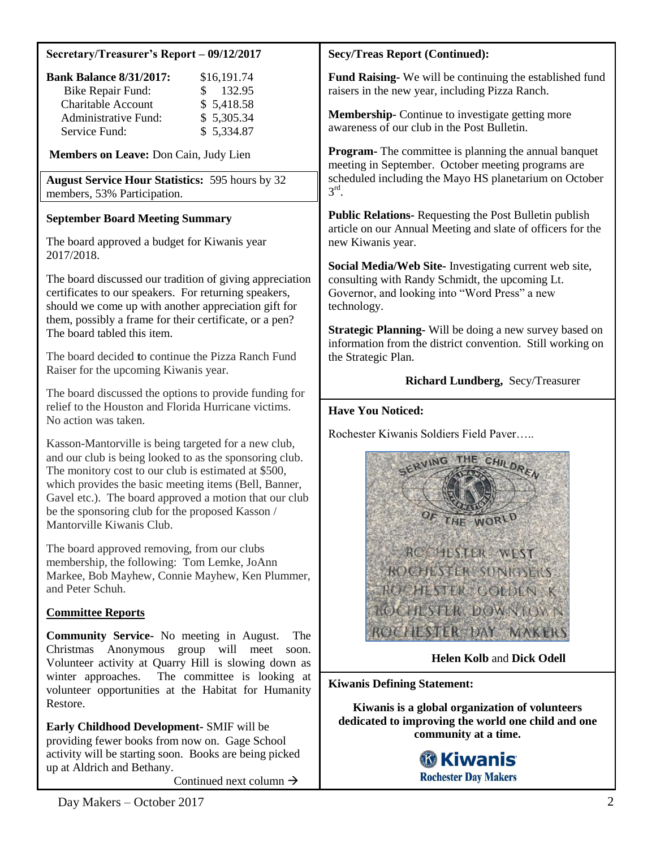## **Secretary/Treasurer's Report – 09/12/2017**

| <b>Bank Balance 8/31/2017:</b> | \$16,191.74         |
|--------------------------------|---------------------|
| <b>Bike Repair Fund:</b>       | $\frac{\$}{132.95}$ |
| Charitable Account             | \$5,418.58          |
| <b>Administrative Fund:</b>    | \$5,305.34          |
| Service Fund:                  | \$5,334.87          |

### **Members on Leave:** Don Cain, Judy Lien

**August Service Hour Statistics:** 595 hours by 32 members, 53% Participation.

### **September Board Meeting Summary**

The board approved a budget for Kiwanis year 2017/2018.

The board discussed our tradition of giving appreciation certificates to our speakers. For returning speakers, should we come up with another appreciation gift for them, possibly a frame for their certificate, or a pen? The board tabled this item.

The board decided **t**o continue the Pizza Ranch Fund Raiser for the upcoming Kiwanis year.

The board discussed the options to provide funding for relief to the Houston and Florida Hurricane victims. No action was taken.

Kasson-Mantorville is being targeted for a new club, and our club is being looked to as the sponsoring club. The monitory cost to our club is estimated at \$500, which provides the basic meeting items (Bell, Banner, Gavel etc.). The board approved a motion that our club be the sponsoring club for the proposed Kasson / Mantorville Kiwanis Club.

The board approved removing, from our clubs membership, the following: Tom Lemke, JoAnn Markee, Bob Mayhew, Connie Mayhew, Ken Plummer, and Peter Schuh.

## **Committee Reports**

**Community Service-** No meeting in August. The Christmas Anonymous group will meet soon. Volunteer activity at Quarry Hill is slowing down as winter approaches. The committee is looking at volunteer opportunities at the Habitat for Humanity Restore.

**Early Childhood Development-** SMIF will be providing fewer books from now on. Gage School activity will be starting soon. Books are being picked up at Aldrich and Bethany.

Continued next column  $\rightarrow$ 

### **Secy/Treas Report (Continued):**

**Fund Raising-** We will be continuing the established fund raisers in the new year, including Pizza Ranch.

**Membership-** Continue to investigate getting more awareness of our club in the Post Bulletin.

**Program-** The committee is planning the annual banquet meeting in September. October meeting programs are scheduled including the Mayo HS planetarium on October  $3^{\text{rd}}$ .

**Public Relations-** Requesting the Post Bulletin publish article on our Annual Meeting and slate of officers for the new Kiwanis year.

**Social Media/Web Site-** Investigating current web site, consulting with Randy Schmidt, the upcoming Lt. Governor, and looking into "Word Press" a new technology.

**Strategic Planning-** Will be doing a new survey based on information from the district convention. Still working on the Strategic Plan.

## **Richard Lundberg,** Secy/Treasurer

#### **Have You Noticed:**

Rochester Kiwanis Soldiers Field Paver…..



 **Helen Kolb** and **Dick Odell**

**Kiwanis Defining Statement:**

**Kiwanis is a global organization of volunteers dedicated to improving the world one child and one community at a time.**